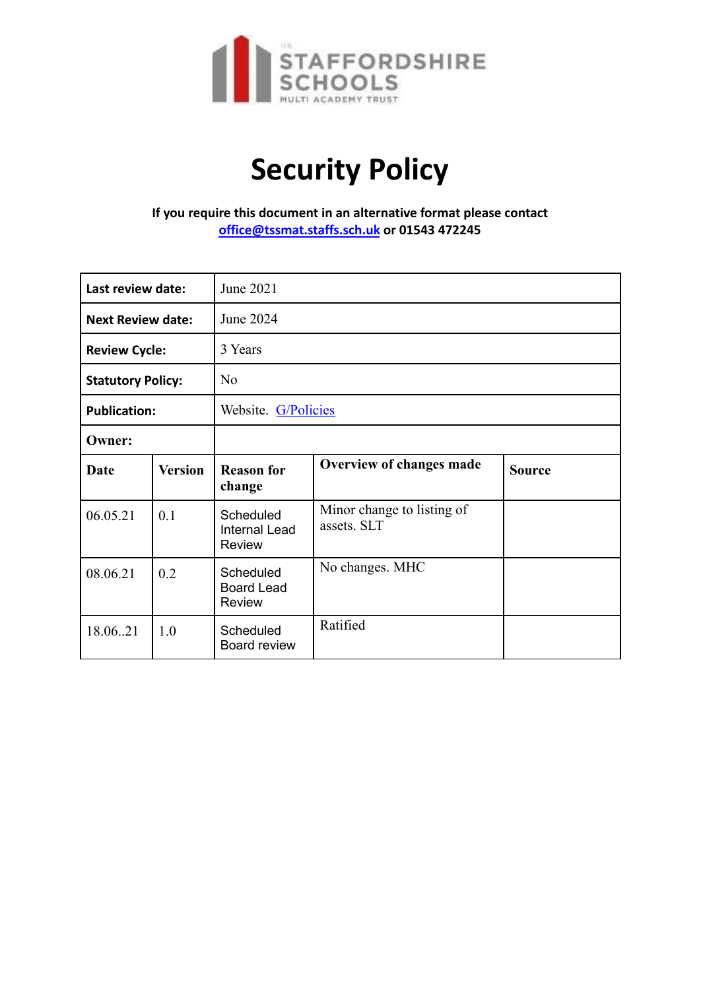

# **Security Policy**

## **If you require this document in an alternative format please contact [office@tssmat.staffs.sch.uk](mailto:office@tssmat.staffs.sch.uk) or 01543 472245**

| Last review date:        |                | June 2021                                       |                                           |               |
|--------------------------|----------------|-------------------------------------------------|-------------------------------------------|---------------|
| <b>Next Review date:</b> |                | June 2024                                       |                                           |               |
| <b>Review Cycle:</b>     |                | 3 Years                                         |                                           |               |
| <b>Statutory Policy:</b> |                | N <sub>0</sub>                                  |                                           |               |
| <b>Publication:</b>      |                | Website. G/Policies                             |                                           |               |
| Owner:                   |                |                                                 |                                           |               |
| Date                     | <b>Version</b> | <b>Reason for</b><br>change                     | Overview of changes made                  | <b>Source</b> |
| 06.05.21                 | 0.1            | Scheduled<br><b>Internal Lead</b><br>Review     | Minor change to listing of<br>assets. SLT |               |
| 08.06.21                 | 0.2            | Scheduled<br><b>Board Lead</b><br><b>Review</b> | No changes. MHC                           |               |
| 18.06.21                 | 1.0            | Scheduled<br>Board review                       | Ratified                                  |               |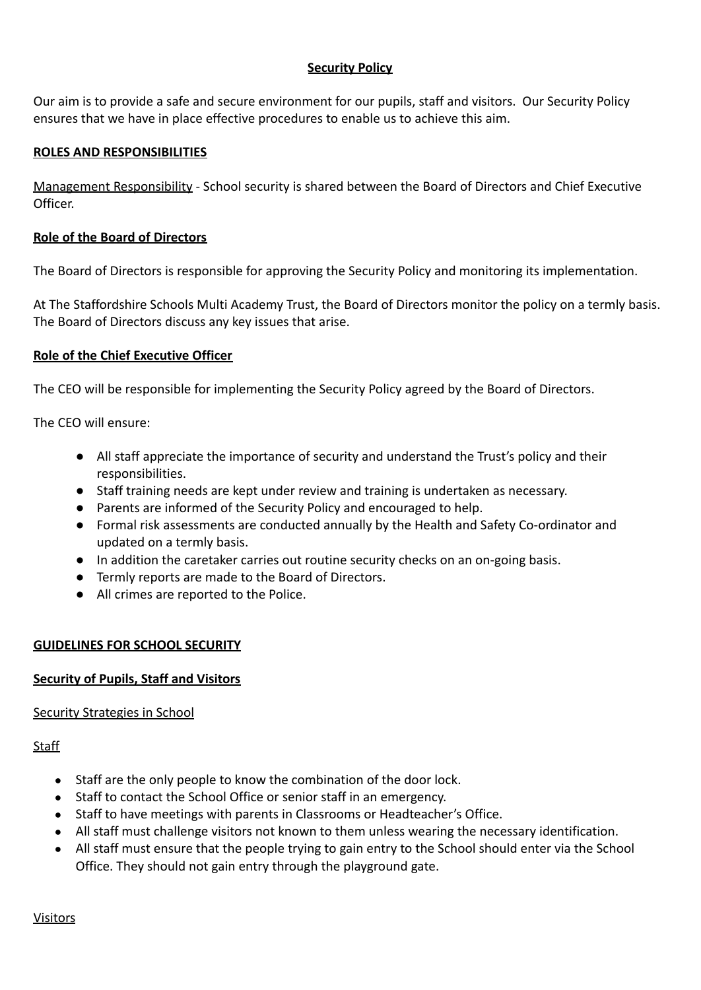## **Security Policy**

Our aim is to provide a safe and secure environment for our pupils, staff and visitors. Our Security Policy ensures that we have in place effective procedures to enable us to achieve this aim.

#### **ROLES AND RESPONSIBILITIES**

Management Responsibility - School security is shared between the Board of Directors and Chief Executive Officer.

## **Role of the Board of Directors**

The Board of Directors is responsible for approving the Security Policy and monitoring its implementation.

At The Staffordshire Schools Multi Academy Trust, the Board of Directors monitor the policy on a termly basis. The Board of Directors discuss any key issues that arise.

## **Role of the Chief Executive Officer**

The CEO will be responsible for implementing the Security Policy agreed by the Board of Directors.

The CEO will ensure:

- All staff appreciate the importance of security and understand the Trust's policy and their responsibilities.
- Staff training needs are kept under review and training is undertaken as necessary.
- Parents are informed of the Security Policy and encouraged to help.
- Formal risk assessments are conducted annually by the Health and Safety Co-ordinator and updated on a termly basis.
- In addition the caretaker carries out routine security checks on an on-going basis.
- Termly reports are made to the Board of Directors.
- All crimes are reported to the Police.

## **GUIDELINES FOR SCHOOL SECURITY**

## **Security of Pupils, Staff and Visitors**

#### Security Strategies in School

**Staff** 

- Staff are the only people to know the combination of the door lock.
- Staff to contact the School Office or senior staff in an emergency.
- Staff to have meetings with parents in Classrooms or Headteacher's Office.
- All staff must challenge visitors not known to them unless wearing the necessary identification.
- All staff must ensure that the people trying to gain entry to the School should enter via the School Office. They should not gain entry through the playground gate.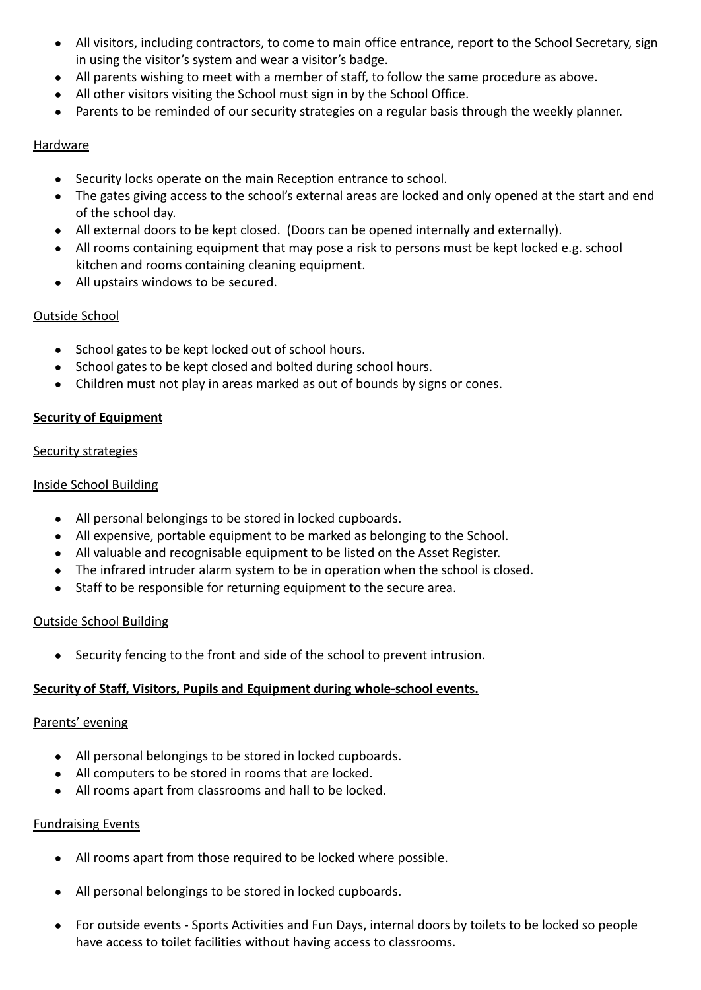- All visitors, including contractors, to come to main office entrance, report to the School Secretary, sign in using the visitor's system and wear a visitor's badge.
- All parents wishing to meet with a member of staff, to follow the same procedure as above.
- All other visitors visiting the School must sign in by the School Office.
- Parents to be reminded of our security strategies on a regular basis through the weekly planner.

## **Hardware**

- Security locks operate on the main Reception entrance to school.
- The gates giving access to the school's external areas are locked and only opened at the start and end of the school day.
- All external doors to be kept closed. (Doors can be opened internally and externally).
- All rooms containing equipment that may pose a risk to persons must be kept locked e.g. school kitchen and rooms containing cleaning equipment.
- All upstairs windows to be secured.

## Outside School

- School gates to be kept locked out of school hours.
- School gates to be kept closed and bolted during school hours.
- Children must not play in areas marked as out of bounds by signs or cones.

## **Security of Equipment**

## Security strategies

## Inside School Building

- All personal belongings to be stored in locked cupboards.
- All expensive, portable equipment to be marked as belonging to the School.
- All valuable and recognisable equipment to be listed on the Asset Register.
- The infrared intruder alarm system to be in operation when the school is closed.
- Staff to be responsible for returning equipment to the secure area.

## Outside School Building

● Security fencing to the front and side of the school to prevent intrusion.

## **Security of Staff, Visitors, Pupils and Equipment during whole-school events.**

## Parents' evening

- All personal belongings to be stored in locked cupboards.
- All computers to be stored in rooms that are locked.
- All rooms apart from classrooms and hall to be locked.

## Fundraising Events

- All rooms apart from those required to be locked where possible.
- All personal belongings to be stored in locked cupboards.
- For outside events Sports Activities and Fun Days, internal doors by toilets to be locked so people have access to toilet facilities without having access to classrooms.